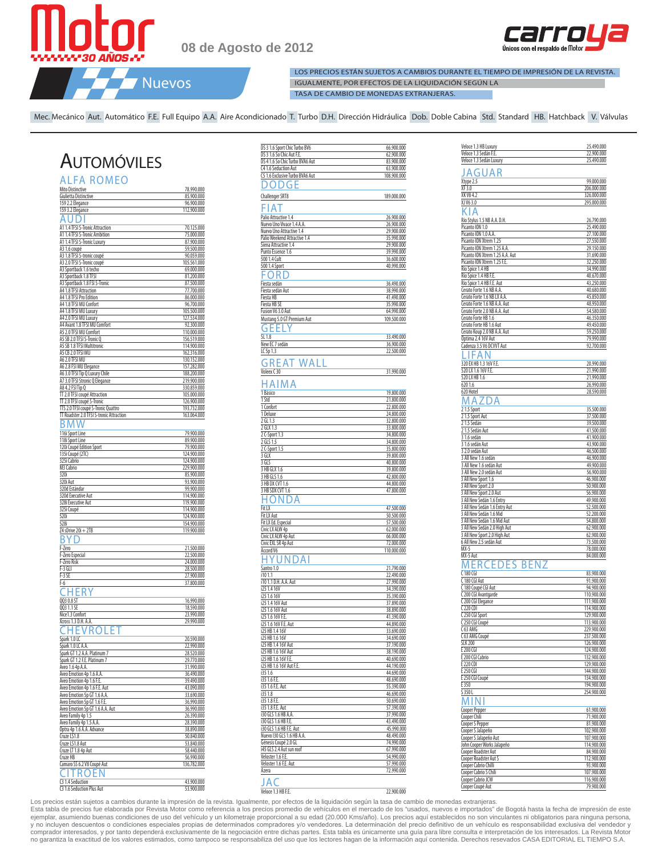

**08 de Agosto de 2012**



LOS PRECIOS ESTÁN SUJETOS A CAMBIOS DURANTE EL TIEMPO DE IMPRESIÓN DE LA REVISTA. IGUALMENTE, POR EFECTOS DE LA LIQUIDACIÓN SEGÚN LA TASA DE CAMBIO DE MONEDAS EXTRANJERAS.

Mec. Mecánico Aut. Automático F.E. Full Equipo A.A. Aire Acondicionado T. Turbo D.H. Dirección Hidráulica Dob. Doble Cabina Std. Standard HB. Hatchback V. Válvulas

## **AUTOMÓVILES**

| <b>ALFA ROMEO</b>                                        |                            |
|----------------------------------------------------------|----------------------------|
| Mito Distinctive                                         | 78.990.000                 |
| Giulietta Distinctive                                    | 85.900.000                 |
| 159 2.2 Elegance<br>159 3.2 Elegance                     | 96.900.000<br>112.900.000  |
| А<br>J                                                   |                            |
| A1 1.4 TFSI S-Tronic Attraction                          | 70.125.000                 |
| 1.4 TFSI S-Tronic Ambition<br>Α1                         | 75.000.000                 |
| 1.4 TFSI S-Tronic Luxury<br>A1                           | 87,900,000                 |
| A3 1.6 coupé<br>A3 1.8 TFSI S-tronic coupé               | 59.500.000<br>90.059.000   |
| A3 2.0 TFSI S-Tronic coupé                               | 105.561.000                |
| A3 Sportback 1.6 techo                                   | 69.000.000                 |
| A3 Sportback 1.8 TFSI                                    | 81.200.000                 |
| A3 Sportback 1.8 FSI S-Tronic<br>A4 1.8 TFSI Attraction  | 87.500.000<br>77.700.000   |
| A4 1.8 TFSI Pro Edition                                  | 86.000.000                 |
| A4 1.8 TFSI MU Confort                                   | 96.700.000                 |
| A4 1.8 TFSI MU Luxury<br>A4 2.0 TFSI MU Luxury           | 105.500.000<br>127.534.000 |
| A4 Avant 1.8 TFSI MU Comfort                             | 92.300.000                 |
| A5 2.0 TFSI MU Comfort                                   | 110.000.000                |
| A5 SB 2.0 TFSI S-Tronic Q                                | 156.519.000                |
| A5 SB 1.8 TFSI Multitronic<br>A5 CB 2.0 TFSI MU          | 114.900.000<br>162.316.000 |
| A6 2.0 TFSI MU                                           | 130.152.000                |
| A6 2.8 FSI MU Elegance                                   | 157.282.000                |
| A6 3.0 TFSI Tip Q Luxury Chile                           | 188.200.000                |
| A7 3.0 TFSI Stronic Q Elegance<br>A8 4.2 FSI Tip Q       | 219.900.000<br>330.859.000 |
| TT 2.0 TFSI coupé Attraction                             | <u>105.000.000</u>         |
| TT 2.0 TFSI coupé S-Tronic                               | 126.900.000                |
| TTS 2.0 TFSI coupé S-Tronic Quattro                      | 193.732.000                |
| TT Roadster 2.0 TFSI S-tronic Attraction                 | 163.064.000                |
| ና<br>M vv                                                |                            |
| 116i Sport Line<br>118i Sport Line                       | 79.900.000<br>89.900.000   |
| 120i Coupé Edition Sport                                 | 79.900.000                 |
| 135i Coupé (2TC)                                         | 124.900.000                |
| 325i Cabrio                                              | 124.900.000                |
| M3 Cabrio<br>320i                                        | 229.900.000<br>85.900.000  |
| 320i Aut                                                 | 93.900.000                 |
| 320d Estándar                                            | 99.900.000                 |
| 320d Executive Aut<br>328i Executive Aut                 | 114.900.000<br>119.900.000 |
| 325i Coupé                                               | 114.900.000                |
| 520i                                                     | 124.900.000                |
| 528i                                                     | 154.900.000                |
| Z4 sDrive 20i + 2TB                                      | 119.900.000                |
|                                                          |                            |
| F-Zero<br>F-Zero Especial                                | 21.500.000<br>22.500.000   |
| F-Zero Risk                                              | 24.000.000                 |
| $F-3$ GLI                                                | 28.500.000                 |
| $F-3SF$<br>$F-6$                                         | 27.900.000<br>37.800.000   |
| FК                                                       |                            |
| QQ3 0.8 ST                                               | 16.990.000                 |
| QQ3 1.1 SE                                               | 18.590.000                 |
| Nice1.3 Confort                                          | 23.990.000                 |
| Xcross 1.3 D.H. A.A.                                     | 29.990.000                 |
| /ROLE                                                    |                            |
| Spark 1.0 LC                                             | 20.590.000                 |
| Spark 1.0 LC A.A.<br>Spark GT 1.2 A.A. Platinum 7        | 22.990.000<br>28.520.000   |
| 1.2 F.E. Platinum<br><u>spark GT</u>                     | 770.000<br>29              |
| Aveo 1.6 4p A.A.                                         | 31.990.000                 |
| Aveo Emotion 4p 1.6 A.A                                  | 36.490.000                 |
| Aveo Emotion 4p 1.6 F.E.<br>Aveo Emotion 4p 1.6 F.E. Aut | 39.490.000<br>43.090.000   |
| Aveo Emotion 5p GT 1.6 A.A.                              | 33.690.000                 |
| Aveo Emotion 5p GT 1.6 F.E.                              | 36.990.000                 |
| Aveo Emotion 5p GT 1.6 A.A. Aut                          | 36.990.000<br>26.390.000   |
| Aveo Family 4p 1.5<br>Aveo Family 4p 1.5 A.A             | 28.390.000                 |
| Optra 4p 1.6 A.A. Advance                                | 38.890.000                 |
| Cruze LS1.8                                              | 50.840.000                 |
| Cruze LS1.8 Aut<br>Cruze LT 1.8 4p Aut                   | 53.840.000<br>58,440.000   |
| Cruze HB                                                 | 56.990.000                 |
| Camaro SS 6.2 V8 Coupé Aut                               | 136.782.000                |
| -ROI                                                     |                            |
| C3 1.4 Seduction                                         | 43.900.000                 |
| C3 1.6 Seduction Plus Aut                                | 53.900.000                 |

| DS 3 1.6 Sport Chic Turbo BV6                  | 66.900.000               |
|------------------------------------------------|--------------------------|
| DS 3 1.6 So Chic Aut F.E.                      | 62.900.000               |
| DS 4 1.6 So Chic Turbo BVA6 Aut                | 83.900.000               |
| C4 1.6 Seduction Aut                           | 63.900.000               |
| C5 1.6 Exclusive Turbo BVA6 Aut                | 108.900.000              |
| ) ( )<br>) (J                                  |                          |
| <b>Challenger SRT8</b>                         | 189.000.000              |
| FIAT                                           |                          |
| Palio Attractive 1.4                           | 26.900.000               |
| Nuevo Uno Vivace 1.4 A.A.                      | 26.900.000               |
| Nuevo Uno Attractive 1.4                       | 29.900.000               |
| Palio Weekend Attractive 1.4                   | 35.990.000<br>29.900.000 |
| Siena Attractive 1.4<br>Punto Essence 1.6      | 39.990.000               |
| 500 1.4 Cult                                   | 36.600.000               |
| 500 1.4 Sport                                  | 40.990.000               |
| ORI                                            |                          |
| Fiesta sedán                                   | 36.490.000               |
| Fiesta sedán Aut                               | 38.990.000               |
| Fiesta HB                                      | 41.490.000               |
| Fiesta HB SE                                   | 35.990.000               |
| Fusion V6 3.0 Aut                              | 64.990.000               |
| Mustang 5.0 GT Premium Aut                     | 109.500.000              |
| 6<br>ł                                         |                          |
| SL 1.8                                         | 33.490.000<br>36.900.000 |
| New EC 7 sedán<br>LC 5p 1.3                    | 22.500.000               |
|                                                |                          |
| WALL<br>А.<br>K                                |                          |
| Voleex C 30                                    | 31.990.000               |
| ı<br>Δ                                         |                          |
| 1 Básico                                       | 19.800.000               |
| 1 Std                                          | 21.800.000               |
| 1 Confort                                      | 22.800.000               |
| 1 Deluxe                                       | 24.800.000               |
| 2 GL 1.3                                       | 32.800.000               |
| 2 GLX 1.3<br>2 C-Sport 1.3                     | 33,800,000<br>34.800.000 |
| 2 GLS 1.5                                      | 34.800.000               |
| 2 C-Sport 1.5                                  | 35.800.000               |
| 3 GLX                                          | 39.800.000               |
| 3 GLS                                          | 40.800.000               |
| 3 HB GLX 1.6                                   | 39.800.000               |
| 3 HB GLS 1.6                                   | 42.800.000               |
| 3 HB DX CVT 1.6                                | 44.800.000               |
| 3 HB SDX CVT 1.6                               | 47.800.000               |
|                                                |                          |
| Fit LX                                         | 47.500.000               |
| Fit LX Aut<br>Fit LX Ed. Especial              | 50.500.000<br>57.500.000 |
| Civic LX ALW 4p                                | 62.000.000               |
| Civic LX ALW 4p Aut                            | 66.000.000               |
| Civic EXL SR 4p Aut                            | 72.000.000               |
| Accord V6                                      | 110.000.000              |
| Д                                              |                          |
| Santro 1.0                                     | 21.790.000               |
| i10 1.1                                        | 22.490.000               |
| i10 1.1 D.H. A.A. Aut                          | 27.990.000               |
| i25 1.4 16V                                    | 34.390.000               |
| i25 1.6 16V                                    | 35.390.000<br>37.890.000 |
| i25 1.4 16V Aut<br>i25 1.6 16V Aut             | 38.890.000               |
| i25 1.6 16V F.E                                | 41.390.000               |
| i25 1.6 16V F.E. Aut                           | 44.890.000               |
| i25 HB 1.4 16V                                 | 33.690.000               |
| i25 HB 1.6 16V                                 | 34.690.000               |
| i25 HB 1.4 16V Aut                             | 37.190.000               |
| i25 HB 1.6 16V Aut                             | 38.190.000               |
| i25 HB 1.6 16V F.E.<br>i25 HB 1.6 16V Aut F.E. | 40.690.000<br>44.190.000 |
| <u>i351.6</u>                                  | 44.690.000               |
| i35 1.6 F.E                                    | 48.690.000               |
| i35 1.6 F.E. Aut                               | 55.390.000               |
| i35 1.8                                        | 46.690.000               |
| i35 1.8 F.E                                    | 50.690.000               |
| i35 1.8 F.E. Aut                               | 57.390.000               |
| i30 GLS 1.6 HB A.A                             | 37.990.000               |
| i30 GLS 1.6 HB F.E.<br>i30 GLS 1.6 HB F.E. Aut | 43.490.000<br>45.990.000 |
| Nuevo 130 GLS 1.6 HB A.A.                      | 48,490,000               |
| Génesis Coupé 2.0 GL                           | 74.990.000               |
| i45 GLS 2.4 Aut sun roof                       | 67.990.000               |
| Veloster 1.6 F.E                               | 54.990.000               |
| Veloster 1.6 F.E. Aut                          | 57.990.000               |
| Azera                                          | 72.990.000               |
| A (                                            |                          |
| Veloce 1.3 HB F.E.                             | 22.900.000               |

| Veloce 1.3 HB Luxury                                     | 25.490.000                 |
|----------------------------------------------------------|----------------------------|
| Veloce 1.3 Sedán F.E.                                    | 22.900.000                 |
| Veloce 1.3 Sedán Luxury                                  | 25.490.000                 |
| AGUAR                                                    |                            |
|                                                          | 99.000.000                 |
| Xtype 2.5<br>XF 3.0                                      | 206.000.000                |
| XK V8 4.2                                                | 326.000.000                |
| XJ V6 3.0                                                | 295.000.000                |
| ( l<br>A                                                 |                            |
| Rio Stylus 1.5 NB A.A. D.H.                              | 26.790.000                 |
| Picanto ION 1.0                                          | 25.490.000                 |
| Picanto ION 1.0 A.A.                                     | 27.100.000                 |
| Picanto ION Xtrem 1.25                                   | 27.550.000                 |
| Picanto ION Xtrem 1.25 A.A.                              | 29.150.000                 |
| Picanto ION Xtrem 1.25 A.A. Aut                          | 31.690.000                 |
| Picanto ION Xtrem 1.25 F.E.                              | 32.250.000                 |
| Rio Spice 1.4 HB                                         | 34.990.000                 |
| Rio Spice 1.4 HB F.E<br>Rio Spice 1.4 HB F.E. Aut        | 40.670.000<br>43.250.000   |
| Cerato Forte 1.6 NB A.A.                                 | 40.680.000                 |
| Cerato Forte 1.6 NB LX A.A                               | 45.850.000                 |
| Cerato Forte 1.6 NB A.A. Aut                             | 48.950.000                 |
| Cerato Forte 2.0 NB A.A. Aut                             | 54.580.000                 |
| Cerato Forte HB 1.6                                      | 46.350.000                 |
| Cerato Forte HB 1.6 Aut                                  | 49.450.000                 |
| Cerato Koup 2.0 NB A.A. Aut                              | 59.250.000                 |
| Optima 2.4 16V Aut                                       | 79.990.000                 |
| Cadenza 3.5 V6 DCVVT Aut                                 | 92.700.000                 |
| - A N                                                    |                            |
| 320 EX HB 1.3 16V F.E.                                   | 20.990.000                 |
| 520 LX 1.6 16V F.E.                                      | 21.990.000                 |
| 520 LX HB 1.6                                            | 21.990.000                 |
| 620 1.6<br>620 Hotel                                     | 26.990.000                 |
|                                                          | 28.590.000                 |
| А                                                        |                            |
| 21.5 Sport                                               | 35.500.000                 |
| 21.5 Sport Aut                                           | 37.500.000                 |
| 2<br>1.5 Sedán                                           | 39.500.000                 |
| 2 1.5 Sedán Aut                                          | 41.500.000<br>41.900.000   |
| 3 1.6 sedán<br>31.6 sedán Aut                            | 43.900.000                 |
| 3 2.0 sedán Aut                                          | 46.500.000                 |
| 3 All New 1.6 sedán                                      | 46.900.000                 |
| 3 All New 1.6 sedán Aut                                  | 49.900.000                 |
| 3 All New 2.0 sedán Aut                                  | 56.900.000                 |
| 3 All New Sport 1.6                                      | 46.900.000                 |
| 3 All New Sport 2.0                                      | 50.900.000                 |
| 3 All New Sport 2.0 Aut                                  | 56.900.000                 |
| 3 All New Sedán 1.6 Entry                                | 49.900.000                 |
| 3 All New Sedán 1.6 Entry Aut<br>3 All New Sedán 1.6 Mid | 52.500.000<br>52.200.000   |
| 3 All New Sedán 1.6 Mid Aut                              | 54.800.000                 |
| 3 All New Sedán 2.0 High Aut                             | 62.900.000                 |
| 3 All New Sport 2.0 High Aut                             | 62.900.000                 |
| 6 All New 2.5 sedán Aut                                  | 73.500.000                 |
| MX-5                                                     | 78.000.000                 |
| MX-5 Aut                                                 | 84.000.000                 |
| <b>EDES BENZ</b><br>MERC                                 |                            |
| 180 CGI<br>C                                             | 83.900.000                 |
| C 180 CGI Aut                                            | 91.900.000                 |
| C 180 Coupé CGI Aut                                      | 94.900.000                 |
| C 200 CGI Avantgarde                                     | 110.900.000                |
| 200 CGI Elegance                                         | 111.900.000                |
| C 220 CDI                                                | 114.900.000                |
| C 250 CGI Sport                                          | 129.900.000                |
| C 250 CGI Coupé<br>C 63 AMG                              | 113.900.000<br>229.900.000 |
| C 63 AMG Coupé                                           | 237.500.000                |
| <b>SLK 200</b>                                           | 126.900.000                |
| E 200 CGI                                                | 124.900.000                |
| E 200 CGI Cabrio                                         | 132.900.000                |
| E 220 CDI                                                | 129.900.000                |
| E 250 CGI                                                | 144.900.000                |
| E 250 CGI Coupé                                          | 134.900.000                |
| E 350                                                    | 194.900.000                |
| S 350 L                                                  | 254.900.000                |
| Н                                                        |                            |
| Cooper Pepper                                            | 61.900.000                 |
| Cooper Chili                                             | 71.900.000                 |
| Cooper S Pepper                                          | 81.900.000                 |
| Cooper S Jalapeño<br>Cooper S Jalapeño Aut               | 102.900.000<br>107.900.000 |
| John Cooper Works Jalapeño                               | 114.900.000                |
| Cooper Roadster Aut                                      | 84.900.000                 |
| Cooper Roadster Aut S                                    | 112.900.000                |
| Cooper Cabrio Chilli                                     | 93.900.000                 |
| Cooper Cabrio S Chili                                    | 107.900.000                |
| Cooper Cabrio JCW                                        | 116.900.000                |
| Cooper Coupé Aut                                         | 79.900.000                 |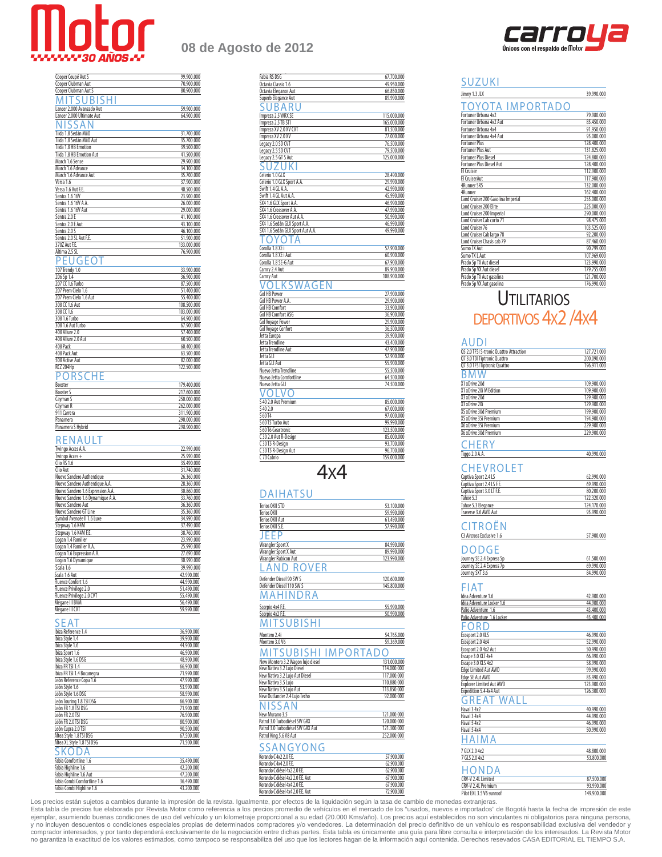

| <b>ANDS ANDS AND AND AND AND ADDITIONAL PROPERTY</b> |            |
|------------------------------------------------------|------------|
|                                                      |            |
|                                                      |            |
| Cooper Coupé Aut S                                   | 99.900.000 |
| Cooper Clubman Aut                                   | 70.900.000 |
| Cooper Clubman Aut S                                 | 80,900,000 |
| MITSUBISHI                                           |            |
| Lancer 2.000 Avanzado Aut                            | 59,900.000 |
| Lancer 2.000 Ultimate Aut                            | 64.900.000 |
| NISSAN                                               |            |
| Tiida 1.8 Sedán MiiO                                 | 31.700.000 |
| Tiida 1.8 Sedán MiiO Aut                             | 35.700.000 |
| Tiida 1.8 HB Emotion                                 | 39.500.000 |
| Tiida 1.8 HB Emotion Aut                             | 41.500.000 |
| March 1.6 Sense                                      | 29.900.000 |
| March 1.6 Advance                                    | 34.100.000 |
| March 1.6 Advance Aut                                | 35.700.000 |
| Versa 1.6                                            | 37.900.000 |

| Versa 1.6 Aut F.E.     | 40.500.000  |
|------------------------|-------------|
| Sentra 1.6 16V         | 23.900.000  |
| Sentra 1.6 16V A.A.    | 26.000.000  |
| Sentra 1.6 16V Aut     | 29.000.000  |
| Sentra 2.0 F           | 41.100.000  |
| Sentra 2.0 E Aut       | 43.100.000  |
| Sentra 2.0 S           | 46.100.000  |
| Sentra 2.0 SL Aut F.E. | 51.900.000  |
| 3707 Aut F.E.          | 133,000.000 |
| Altima 2.5 SL          | 76.900.000  |
| PEUGEOT                |             |
| 107 Trendy 1.0         | 33.900.000  |
| 206 5p 1.4             | 36.900.000  |
| 207 CC 1.6 Turbo       | 87.500.000  |
| 207 Prem Cielo 1.6     | 51.400.000  |
| 207 Prem Cielo 1.6 Aut | 55.400.000  |
| 308 CC 1.6 Aut         | 108.500.000 |
| 308 CC 1.6             | 103.000.000 |
| 308 1.6 Turbo          | 64.900.000  |
| 308 1.6 Aut Turbo      | 67.900.000  |
| 408 Allure 2.0         | 57.400.000  |
| 408 Allure 2.0 Aut     | 60.500.000  |

| RCZ 204Hp         | 122,500,000 |
|-------------------|-------------|
| PORSCHE           |             |
| Boxster           | 179,400,000 |
| <b>Boxster S</b>  | 217,600,000 |
| Cayman S          | 250.000.000 |
| Cavman R          | 262.000.000 |
| 911 Carrera       | 311.900.000 |
| Panamera          | 290.000.000 |
| Panamera S Hybrid | 298.900.000 |

008 Pack 60.400.000 008 Pack 60.400.000 008 Pack 60.400.000 008 Pack 60.400.000 008 Pack 60.400.000 008 Pack 6<br>008 Pack Aut 408 Pack Aut 63.500.000 508 Active Aut 82.000.000

#### **RENAULT**

| Twingo Acces A.A.                 | 22.990.000 |
|-----------------------------------|------------|
| Twingo Acces +                    | 25.990.000 |
| Clio RS 1.6                       | 35.490.000 |
| Clio Aut                          | 31.740.000 |
| Nuevo Sandero Authentique         | 26.360.000 |
| Nuevo Sandero Authentique A.A.    | 28.360.000 |
| Nuevo Sandero 1.6 Expression A.A. | 30.860.000 |
| Nuevo Sandero 1.6 Dynamique A.A.  | 33.760.000 |
| Nuevo Sandero Aut                 | 36.360.000 |
| Nuevo Sandero GT Line             | 35.360.000 |
| Symbol Avencée II 1.6 Luxe        | 34.990.000 |
| Stepway 1.6 K4M                   | 37.490.000 |
| Stepway 1.6 K4M F.E.              | 38.760.000 |
| Logan 1.4 Familier                | 23.990.000 |
| Logan 1.4 Familier A.A.           | 25.990.000 |
| Logan 1.6 Expression A.A.         | 27.690.000 |
| Logan 1.6 Dynamique               | 30.990.000 |
| Scala 1.6                         | 39.990.000 |
| Scala 1.6 Aut                     | 42.990.000 |
| Fluence Confort 1.6               | 44.990.000 |
| Fluence Privilege 2.0             | 51.490.000 |
| Fluence Privilege 2.0 CVT         | 55.490.000 |
| Mégane III BVM                    | 56.490.000 |
| Mégane III CVT                    | 59.990.000 |
|                                   |            |

#### **SEAT**

| Ibiza Reference 1.4         | 36.900.000 |
|-----------------------------|------------|
| Ibiza Stvle 1.4             | 39.900.000 |
| Ibiza Style 1.6             | 44.900.000 |
| Ibiza Sport 1.6             | 46.900.000 |
| Ibiza Stvle 1.6 DSG         | 48.900.000 |
| Ibiza FR TSI 1.4            | 66.900.000 |
| Ibiza FR TSI 1.4 Bocanegra  | 71,990,000 |
| León Reference Copa 1.6     | 47.990.000 |
| León Style 1.6              | 53.990.000 |
| León Style 1.6 DSG          | 58.990.000 |
| León Touring 1.8 TSI DSG    | 66.900.000 |
| León FR 1.8 TSI DSG         | 71,900,000 |
| León FR 2.0 TSI             | 76.900.000 |
| León FR 2.0 TSI DSG         | 80.900.000 |
| León Cupra 2.0 TSI          | 90.500.000 |
| Altea Style 1.8 TSI DSG     | 67.500.000 |
| Altea XL Style 1.8 TSI DSG  | 71,500,000 |
| SKODA                       |            |
| Fabia Comfortline 1.6       | 35.490,000 |
| Fabia Highline 1.6          | 42.200.000 |
| Fabia Highline 1.6 Aut      | 47.200.000 |
| Fabia Combi Comfortline 1.6 | 36.490.000 |
| Fabia Combi Highline 1.6    | 43.200.000 |

## **08 de Agosto de 2012**

| Fabia RS DSG                                              | 67.700.000                |
|-----------------------------------------------------------|---------------------------|
| Octavia Classic 1.6<br>Octavia Elegance Aut               | 49.950.000<br>66.850.000  |
| Superb Elegance Aut                                       | 89.990.000                |
|                                                           |                           |
| IBA                                                       |                           |
| Impreza 2.5 WRX SE                                        | 115.000.000               |
| Impreza 2.5 TB STI                                        | 165.000.000               |
| Impreza XV 2.0 XV CVT                                     | 81.500.000                |
| Impreza XV 2.0 XV<br>Legacy 2.0 SD CVT                    | 77.000.000<br>76.500.000  |
| Legacy 2.5 SD CVT                                         | 79.500.000                |
| Legacy 2.5 GT S Aut                                       | 125.000.000               |
|                                                           |                           |
| 7<br>ı                                                    |                           |
| Celerio 1.0 GLX                                           | 28.490.000                |
| Celerio 1.0 GLX Sport A.A                                 | 29.990.000                |
| Swift 1.4 GL A.A.                                         | 42.990.000                |
| Swift 1.4 GL Aut A.A.                                     | 45.990.000                |
| SX4 1.6 GLX Sport A.A.                                    | 46.990.000                |
| SX4 1.6 Crossover A.A.                                    | 47.990.000                |
| SX4 1.6 Crossover Aut A.A<br>SX4 1.6 Sedán GLX Sport A.A. | 50.990.000<br>46.990.000  |
| SX4 1.6 Sedán GLX Sport Aut A.A.                          | 49.990.000                |
|                                                           |                           |
| Δ                                                         |                           |
| Corolla 1.8 XE i                                          | 57.900.000                |
| Corolla 1.8 XE i Aut                                      | 60.900.000                |
| Corolla 1.8 SE-G Aut                                      | 67.900.000                |
| Camry 2.4 Aut                                             | 89.900.000                |
| Camry Aut                                                 | 108.900.000               |
| WAGEN<br>$\left( \right)$                                 |                           |
| <b>Gol HB Power</b>                                       | 27.900.000                |
| Gol HB Power A.A.                                         | 29.900.000                |
| Gol HB Comfort                                            | 33.900.000                |
| Gol HB Comfort ASG                                        | 36.900.000                |
| Gol Voyage Power                                          | 29.900.000                |
| Gol Voyage Confort                                        | 36.500.000                |
| Jetta Europa                                              | 39.900.000                |
| Jetta Trendline                                           | 43.400.000                |
| Jetta Trendline Aut                                       | 47.900.000                |
| Jetta GLI                                                 | 52.900.000                |
| Jetta GLI Aut                                             | 55.900.000                |
| Nuevo Jetta Trendline                                     | 55.500.000                |
| Nuevo Jetta Comfortline                                   | 64.500.000                |
| Nuevo Jetta GLI                                           | 74.500.000                |
| ı                                                         |                           |
| S 40 2.0 Aut Premium                                      | 85.000.000                |
|                                                           |                           |
|                                                           |                           |
| 5402.0                                                    | 67.000.000                |
| S 60 T4                                                   | 97.000.000                |
| S 60 T5 Turbo Aut                                         | 99.990.000                |
| S 60 T6 Geartronic                                        | 123.500.000               |
| C 30 2.0 Aut R-Design                                     | 85.000.000                |
| 30 T5 R-Design                                            | 93.700.000                |
| 30 T5 R-Design Aut<br>C 70 Cabrio                         | 96.700.000<br>159.000.000 |
|                                                           |                           |
|                                                           |                           |
| 4x4                                                       |                           |
|                                                           |                           |
| AIHATSU                                                   |                           |
|                                                           |                           |
| Terios OKII STD                                           | 53.100.000                |
| Terios OKII                                               | 59.990.000                |
| Terios OKII Aut                                           | 61.490.000                |
| Terios OKII S.E.                                          | 57.990.000                |
|                                                           |                           |
| Wrangler Sport X                                          | 84.990.000                |
| Wrangler Sport X Aut                                      | 89.990.000                |
| <b>Wrangler Rubicon Aut</b>                               | 123.990.000               |
| ROVER                                                     |                           |
|                                                           |                           |
| Defender Diesel 90 SW S                                   | 120.600.000               |
| Defender Diesel 110 SW S                                  | 145.800.000               |
| R                                                         |                           |
|                                                           |                           |
| Scorpio 4x4 F.E                                           | <u>55.990.000</u>         |
| Scorpio 4x2 F.E                                           | 50.990.000                |
| вı                                                        |                           |
|                                                           |                           |
| Montero 2.4i                                              | 54.765.000                |
| Montero 3.0 V6                                            | 59.369.000                |
| S١<br>JBI<br>IMPORTAI<br>SI<br>-11                        |                           |
| New Montero 3.2 Wagon lujo diesel                         | 131.000.000               |
| New Nativa 3.2 Lujo Diesel                                | 114.000.000               |
| New Nativa 3.2 Lujo Aut Diesel                            | 117.000.000               |
| New Nativa 3.5 Lujo                                       | 110.880.000               |
| New Nativa 3.5 Lujo Aut                                   | 113.850.000               |
| New Outlander 2.4 Lujo Techo                              | 92.000.000                |
| Д                                                         |                           |
|                                                           |                           |
| New Murano 3.5                                            | 121.000.000               |
| Patrol 3.0 Turbodiésel SW GRX                             | 120.000.000               |
| Patrol 3.0 Turbodiésel SW GRX Aut                         | 121.300.000               |
| Patrol King 5.6 V8 Aut                                    | 252.000.000               |

| SSANGYONG                         |            |
|-----------------------------------|------------|
| Korando C 4x2 2.0 F.E.            | 57.900.000 |
| Korando C 4x4 2.0 F.E.            | 62.900.000 |
| Korando C diésel 4x2 2.0 F.E.     | 62.900.000 |
| Korando C diésel 4x2 2.0 F.E. Aut | 67.900.000 |
| Korando C diésel 4x4 2.0 F.E.     | 67.900.000 |
| Korando C diésel 4x4 2.0 F.E. Aut | 72.900.000 |

| Únicos con el respaldo de Motor |  |
|---------------------------------|--|

| <b>SUZUKI</b>                      |             |
|------------------------------------|-------------|
| Jimny 1.3 JLX                      | 39.990.000  |
| TOYOTA IMPORTADO                   |             |
| Fortuner Urbana 4x2                | 79.980.000  |
| Fortuner Urbana 4x2 Aut            | 85.450.000  |
| Fortuner Urbana 4x4                | 91.950.000  |
| Fortuner Urbana 4x4 Aut            | 95.000.000  |
| <b>Fortuner Plus</b>               | 128,400,000 |
| <b>Fortuner Plus Aut</b>           | 131.825.000 |
| <b>Fortuner Plus Diesel</b>        | 124.800.000 |
| <b>Fortuner Plus Diesel Aut</b>    | 128,400,000 |
| FJ Cruiser                         | 112.900.000 |
| FJ CruiserAut                      | 117.900.000 |
| 4Runner SR5                        | 132.000.000 |
| 4Runner                            | 162.400.000 |
| Land Cruiser 200 Gasolina Imperial | 255.000.000 |
| Land Cruiser 200 Elite             | 225.000.000 |
| Land Cruiser 200 Imperial          | 290.000.000 |
| Land Cruiser Cab corto 71          | 98.475.000  |
| Land Cruiser 76                    | 103.525.000 |
| Land Cruiser Cab largo 78          | 92.200.000  |
| Land Cruiser Chasís cab 79         | 87.460.000  |
| Sumo TX Aut                        | 90.799.000  |
| Sumo TX I. Aut                     | 107.969.000 |
| Prado 5p TX Aut diesel             | 123,990,000 |
| Prado 5p VX Aut diesel             | 179.755.000 |
| Prado 5p TX Aut gasolina           | 121.700.000 |
| Prado 5p VX Aut gasolina           | 176,990,000 |

# UTILITARIOS<br>DEPORTIVOS 4x2 /4x4

#### AUDI

| ー                                       |             |
|-----------------------------------------|-------------|
| Q5 2.0 TFSI S-tronic Quattro Attraction | 127.721.000 |
| Q7 3.0 TDI Tiptronic Quattro            | 200.090.000 |
| Q7 3.0 TFSI Tiptronic Quattro           | 196.911.000 |
| } M                                     |             |
| X1 xDrive 20d                           | 109.900.000 |
| X1 xDrive 20i M Edition                 | 109.900.000 |
| X3 xDrive 20d                           | 129.900.000 |
| X3 xDrive 20i                           | 129.900.000 |
| X5 xDrive 30d Premium                   | 199.900.000 |
| X5 xDrive 35i Premium                   | 194.900.000 |
| X6 xDrive 35i Premium                   | 229.900.000 |
| X6 xDrive 30d Premium                   | 229.900.000 |
| 4 F R                                   |             |
| Tiggo 2.0 A.A.                          | 40.990.000  |
| <b>HEVROLET</b>                         |             |
| Captiva Sport 2.4 LS                    | 62.990.000  |
| Captiva Sport 2.4 LS F.E.               | 69.990.000  |
| Captiva Sport 3.0 LT F.E.               | 80.200.000  |
| Tahoe 5.3                               | 122.320.000 |
| Tahoe 5.3 Elegance                      | 124.170.000 |
| Traverse 3.6 AWD Aut                    | 95.990.000  |
| CITROFN                                 |             |
| C3 Aircross Exclusive 1.6               | 57.900.000  |
|                                         |             |
| Œ<br>) G F                              |             |
| Journey SE 2.4 Express 5p               | 61.500.000  |
| Journey SE 2.4 Express 7p               | 69.990.000  |
| Journey SXT 3.6                         | 84.990.000  |
| FIAT                                    |             |
| Idea Adventure 1.6                      | 42.900.000  |
| Idea Adventure Locker 1.6               | 44.900.000  |
| Palio Adventure 1.6                     | 43.400.000  |
| Palio Adventure 1.6 Locker              | 45.400.000  |
| D R I                                   |             |
| Ecosport 2.0 XLS                        | 46.990.000  |
| Ecosport 2.0 4x4                        | 52.990.000  |
| Ecosport 2.0 4x2 Aut                    | 50.990.000  |
| Escape 3.0 XLT 4x4                      | 66.990.000  |
| Escape 3.0 XLS 4x2                      | 58.990.000  |
| <b>Edge Limited Aut AWD</b>             | 99.990.000  |
| Edge SE Aut AWD                         | 85.990.000  |
| <b>Explorer Limited Aut AWD</b>         | 123.900.000 |
| Expedition 5.4 4x4 Aut                  | 126.300.000 |
| NΑ<br>GREA                              |             |
| Haval 3 4x2                             | 40.990.000  |
| Haval 3 4x4                             | 44.990.000  |
| Haval 5 4x2                             | 46.990.000  |
| Haval 5 4x4                             | 50.990.000  |
|                                         |             |
| 7 GLX 2.0 4x2                           | 48.800.000  |
| 7 GLS 2.0 4x2                           | 53.800.000  |
| ЭN<br>l                                 |             |
| CRV-V 2.4L Limited                      | 87.500.000  |
| CRV-V 2.4L Premium                      | 93.990.000  |
| Pilot EXL 3.5 V6 sunroof                | 149.900.000 |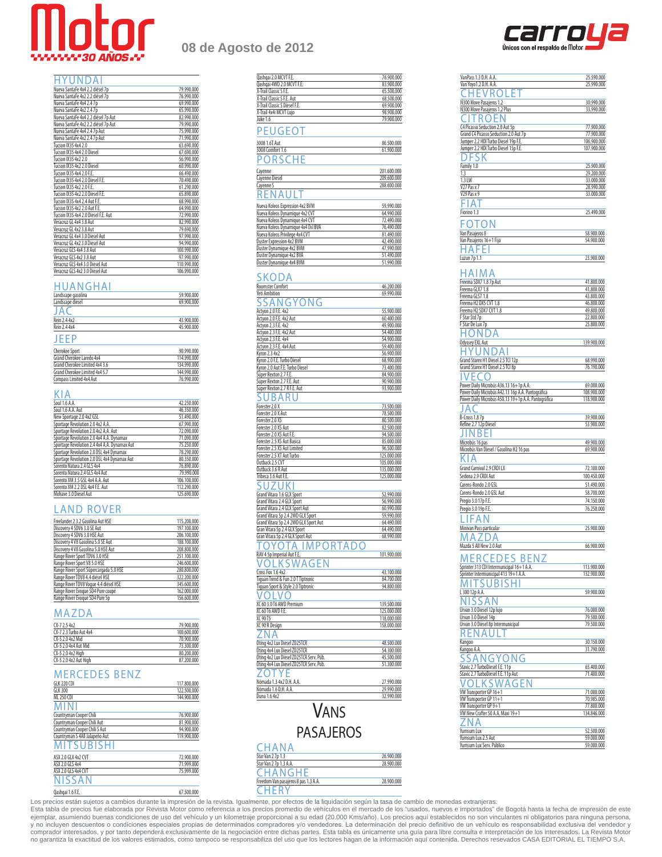

### **08 de Agosto de 2012**

q

| HYUNDAI                             |             |
|-------------------------------------|-------------|
| Nueva SantaFe 4x4 2.2 diésel 7p     | 79.990.000  |
| Nueva SantaFe 4x2 2.2 diésel 7p     | 76.990.000  |
| Nueva SantaFe 4x4 2.47p             | 69.990.000  |
| Nueva SantaFe 4x2 2.47p             | 65.990.000  |
| Nueva SantaFe 4x4 2.2 diésel 7p Aut | 82.990.000  |
| Nueva SantaFe 4x2 2.2 diésel 7p Aut | 79.990.000  |
| Nueva SantaFe 4x4 2.4 7p Aut        | 75.990.000  |
| Nueva SantaFe 4x2 2.4 7p Aut        | 71.990.000  |
| Tucson IX35 4x4 2.0                 | 63.690.000  |
| Tucson IX35 4x4 2.0 Diesel          | 67.690.000  |
| Tucson IX35 4x2 2.0                 | 56.990.000  |
| Tucson IX35 4x2 2.0 Diesel          | 60.990.000  |
| Tucson IX35 4x4 2.0 F.E.            | 66.490.000  |
| Tucson IX35 4x4 2.0 Diesel F.E.     | 70.490.000  |
| Tucson IX35 4x2 2.0 F.E.            | 61.290.000  |
| Tucson IX35 4x2 2.0 Diesel E.E.     | 65.890.000  |
| Tucson IX35 4x4 2.4 Aut F.E.        | 68.990.000  |
| Tucson IX35 4x2 2.0 Aut F.E.        | 64.990.000  |
| Tucson IX35 4x4 2.0 Diesel F.E. Aut | 72.990.000  |
| Veracruz GL 4x4 3.8 Aut             | 82.990.000  |
| Veracruz GL 4x2 3.8 Aut             | 79.690.000  |
| Veracruz GL 4x4 3.0 Diesel Aut      | 97.990.000  |
| Veracruz GL 4x2 3.0 Diesel Aut      | 94.990.000  |
| Veracruz GLS 4x4 3.8 Aut            | 100.990.000 |
| Veracruz GLS 4x2 3.8 Aut            | 97.990.000  |
| Veracruz GLS 4x4 3.0 Diesel Aut     | 110.990.000 |
| Veracruz GLS 4x2 3.0 Diesel Aut     | 106.990.000 |

#### HUANGHAI

| Landscape gasolina | 59.900.000 |
|--------------------|------------|
| Landscape diesel   | 69.900.000 |
| JA                 |            |
| Rein 2.4 4x2       | 43.900.000 |
| Rein 2.4 4x4       | 45.900.000 |
| JEEP               |            |

| <b>Cherokee Sport</b>          | 90.990.000  |
|--------------------------------|-------------|
| Grand Cherokee Laredo 4x4      | 114.990.000 |
| Grand Cherokee Limited 4x4 3.6 | 134.990.000 |
| Grand Cherokee Limited 4x4 5.7 | 144.990.000 |
| Compass Limited 4x4 Aut        | 76.990.000  |

#### KIA

| Soul 1.6 A.A.                                | 42.250.000  |
|----------------------------------------------|-------------|
| Soul 1.6 A.A. Aut                            | 46.350.000  |
| New Sportage 2.0 4x2 GSL                     | 51.490.000  |
| Sportage Revolution 2.0 4x2 A.A.             | 67.990.000  |
| Sportage Revolution 2.0 4x2 A.A. Aut         | 72.090.000  |
| Sportage Revolution 2.0 4x4 A.A. Dynamax     | 71.090.000  |
| Sportage Revolution 2.4 4x4 A.A. Dynamax Aut | 75.250,000  |
| Sportage Revolution 2.0 DSL 4x4 Dynamax      | 78.290.000  |
| Sportage Revolution 2.0 DSL 4x4 Dynamax Aut  | 80.350.000  |
| Sorento Natura 2.4 GLS 4x4                   | 76.890.000  |
| Sorento Natura 2.4 GLS 4x4 Aut               | 79.990.000  |
| Sorento XM 3.5 GSL 4x4 A.A. Aut              | 106.100.000 |
| Sorento XM 2.2 DSL 4x4 F.E. Aut              | 112.290.000 |
| Mohave 3.0 Diesel Aut                        | 125.690.000 |

#### **LAND ROVER**

| Freelander 2 3.2 Gasolina Aut HSE      | 115.200.000 |
|----------------------------------------|-------------|
| Discovery 4 SDV6 3.0 SE Aut            | 197.100.000 |
| Discovery 4 SDV6 3.0 HSE Aut           | 206.100.000 |
| Discovery 4 V8 Gasolina 5.0 SE Aut     | 188.100.000 |
| Discovery 4 V8 Gasolina 5.0 HSE Aut    | 208.800.000 |
| Range Rover Sport TDV6 3.0 HSE         | 251.100.000 |
| Range Rover Sport V8 5.0 HSE           | 246.600.000 |
| Range Rover Sport Súpercargada 5.0 HSE | 280.800.000 |
| Range Rover TDV8 4.4 diésel HSE        | 322.200.000 |
| Range Rover TDV8 Voque 4.4 diésel HSE  | 345.600.000 |
| Range Rover Evoque SD4 Pure coupé      | 162,000,000 |
| Range Rover Evoque SD4 Pure 5p         | 156.600.000 |

#### MAZDA

| $(X-72.54x2)$          | 79.900.000  |
|------------------------|-------------|
| CX-7 2.3 Turbo Aut 4x4 | 100.600.000 |
| CX-5 2.0 4x2 Mid       | 70.900.000  |
| CX-5 2.0 4x4 Aut Mid   | 73.300.000  |
| CX-5 2.0 4x2 High      | 80.200.000  |
| CX-5 2.0 4x2 Aut High  | 87.200.000  |

#### MERCEDES BENZ

| GLK 220 CDL                    | 117,800,000 |
|--------------------------------|-------------|
| <b>GLK 300</b>                 | 122,500,000 |
| ML 250 CDI                     | 144.900.000 |
| <b>MINI</b>                    |             |
| Countryman Cooper Chili        | 76,900,000  |
| Countryman Cooper Chili Aut    | 81.900.000  |
| Countryman Cooper Chili S Aut  | 94.900.000  |
| Countryman S 4All Jalapeño Aut | 119,900,000 |
| <b>MITSUBISHI</b>              |             |
| ASX 2.0 GI X 4x2 CVT           | 72.900.000  |
| ASX 2.0 GLS 4x4                | 71,999,000  |
| ASX 2.0 GLS 4x4 CVT            | 75,999,000  |
| <b>NISSAN</b>                  |             |
| Oashgai 1.6 F.E.               | 67.500.000  |

| Qashqai 2.0 MCVT F.E.                          | 76.900.000  |
|------------------------------------------------|-------------|
| Qashqai 4WD 2.0 MCVT F.E.                      | 83.900.000  |
| X-Trail Classic S F.E.                         | 65.500.000  |
| X-Trail Classic S F.E. Aut                     | 68.500.000  |
| X-Trail Classic S Diesel F.E.                  | 69.900.000  |
| X-Trail 4x4i MCVT Lujo                         | 98.900.000  |
| Juke 1.6                                       | 79.900.000  |
| EUGEO.                                         |             |
| 3008 1.6T Aut                                  | 86.500.000  |
| 3008 Comfort 1.6                               | 61.900.000  |
| 0RSC                                           |             |
| Cayenne                                        | 201.600.000 |
| Cayenne Diesel                                 | 209.600.000 |
| Cayenne S                                      | 288.600.000 |
| А<br>ΕN                                        |             |
| Nueva Koleos Expression 4x2 BVM                | 59.990.000  |
| Nueva Koleos Dynamique 4x2 CVT                 | 64.990.000  |
| Nueva Koleos Dynamique 4x4 CVT                 | 72.490.000  |
| Nueva Koleos Dynamique 4x4 Dsl BVA             | 76.490.000  |
| Nueva Koleos Privilege 4x4 CVT                 | 81.490.000  |
| <b>Duster Expression 4x2 BVM</b>               | 42.490.000  |
| Duster Dynamique 4x2 BVM                       | 47.990.000  |
| Duster Dynamique 4x2 BVA                       | 51.490.000  |
| Duster Dynamique 4x4 BVM                       | 51.990.000  |
| SKODA                                          |             |
| <b>Roomster Comfort</b>                        | 46.200.000  |
| Yeti Ambition                                  | 69.990.000  |
| Д<br>ONG<br>J<br>G                             |             |
| Actyon 2.0 F.E. 4x2                            | 55.900.000  |
| Actyon 2.0 F.E. 4x2 Aut                        | 60.400.000  |
| Actyon 2.3 F.E. 4x2                            | 49.900.000  |
|                                                | 54.400.000  |
| Actyon 2.3 F.E. 4x2 Aut<br>Actyon 2.3 F.E. 4x4 | 54.900.000  |
| Actyon 2.3 F.E. 4x4 Aut                        | 59.400.000  |
| Kyron 2.3 4x2                                  | 56.900.000  |
| Kyron 2.0 F.E. Turbo Diesel                    | 68.900.000  |
| Kyron 2.0 Aut F.E. Turbo Diesel                | 73.400.000  |
| Súper Rexton 2.7 F.E.                          | 84.900.000  |
| Súper Rexton 2.7 F.E. Aut                      | 90.900.000  |
| Súper Rexton 2.7 R F.E. Aut                    | 93.900.000  |
|                                                |             |
| Forester 2.0 X                                 | 73.500.000  |
| Forester 2.0 X Aut                             | 78.500.000  |
| Forester 2.0 XS                                | 80.500.000  |
| Forester 2.0 XS Aut                            | 82.500.000  |
| Forester 2.0 XS Aut F.E                        | 94.500.000  |
| Forester 2.5 XS Aut Basica                     | 85.000.000  |
| Forester 2.5 XS Aut Limited                    | 96.500.000  |
| Forester 2.5 XT Aut Turbo                      | 125.000.000 |
| Outback 2.5 CVT                                | 105.000.000 |
| Outback 3.6 R Aut                              | 135.000.000 |
| Tribeca 3.6 Aut F.E.                           | 125.000.000 |
|                                                |             |
| Grand Vitara 1.6 GLX Sport                     | 52.990.000  |
| Grand Vitara 2.4 GLX Sport                     | 56.990.000  |
| Grand Vitara 2.4 GLX Sport Aut                 | 60.990.000  |
| Grand Vitara 5p 2.4 2WD GLX Sport              | 59.990.000  |
| Grand Vitara 5p 2.4 2WD GLX Sport Aut          | 64.490.000  |
| Gran Vitara 5p 2.4 GLX Sport                   | 64.490.000  |
| Gran Vitara 5p 2.4 GLX Sport Aut               | 68.990.000  |
| P(<br>R<br>А<br>Y ( )<br>Δ                     |             |
| RAV 4 5p Imperial Aut F.E                      | 101.900.000 |

#### carro Únicos con el respaldo de Motor

| VanPass 1.3 D.H. A.A.                               | 25.590.000                                                                                                                                              |
|-----------------------------------------------------|---------------------------------------------------------------------------------------------------------------------------------------------------------|
| Van Yoyo1.2 D.H. A.A.                               | 25.990.000                                                                                                                                              |
|                                                     |                                                                                                                                                         |
| V R.C                                               |                                                                                                                                                         |
| N300 Move Pasajeros 1.2                             | 30.990.000                                                                                                                                              |
| N300 Move Pasajeros 1.2 Plus                        | 33.990.000                                                                                                                                              |
|                                                     |                                                                                                                                                         |
| <b>ROEF</b>                                         |                                                                                                                                                         |
| C4 Picasso Seduction 2.0 Aut 5p                     | 77.900.000                                                                                                                                              |
|                                                     |                                                                                                                                                         |
| Grand C4 Picasso Seduction 2.0 Aut 7p               | 77.900.000                                                                                                                                              |
| Jumper 2.2 HDI Turbo Diesel 19p F.E.                | 106.900.000                                                                                                                                             |
| Jumper 2.2 HDI Turbo Diesel 15p F.E.                | 107.900.000                                                                                                                                             |
|                                                     |                                                                                                                                                         |
| )FSK                                                |                                                                                                                                                         |
| Family 1.0                                          | 25.900.000                                                                                                                                              |
|                                                     |                                                                                                                                                         |
| 1.3                                                 | 29.200.000                                                                                                                                              |
| 1.3 LW                                              | 33.000.000                                                                                                                                              |
| V27 Pas x 7                                         | 28.990.000                                                                                                                                              |
| V29 Pas x 9                                         | 33.000.000                                                                                                                                              |
|                                                     |                                                                                                                                                         |
| IA.                                                 |                                                                                                                                                         |
|                                                     |                                                                                                                                                         |
| Fiorino 1.3                                         | 25.490.000                                                                                                                                              |
|                                                     |                                                                                                                                                         |
| C<br>-0                                             |                                                                                                                                                         |
| Van Pasajeros 8                                     | 58.900.000                                                                                                                                              |
|                                                     |                                                                                                                                                         |
| Van Pasajeros 16+1 Fija                             | 54.900.000                                                                                                                                              |
| Αł<br>- 1-                                          |                                                                                                                                                         |
|                                                     |                                                                                                                                                         |
| Luzun 7p 1.1                                        | 23.900.000                                                                                                                                              |
|                                                     |                                                                                                                                                         |
|                                                     |                                                                                                                                                         |
| 1 A I M A                                           |                                                                                                                                                         |
| Freema SDX7 1.8 7p Aut                              | 41.800.000                                                                                                                                              |
| Freema GLX7 1.8                                     | 41.800.000                                                                                                                                              |
|                                                     |                                                                                                                                                         |
| Freema GLS7 1.8                                     | 43.800.000                                                                                                                                              |
| Freema H2 DX5 CVT 1.8                               | 46.800.000                                                                                                                                              |
| Freema H2 SDX7 CVT 1.8                              | 49.800.000                                                                                                                                              |
|                                                     |                                                                                                                                                         |
| F Star Std 7p                                       | 22.800.000                                                                                                                                              |
| F Star De Lux 7p                                    | 25.800.000                                                                                                                                              |
| Δ                                                   |                                                                                                                                                         |
| 1ONI                                                |                                                                                                                                                         |
| Odyssey EXL Aut                                     | 139.900.000                                                                                                                                             |
|                                                     |                                                                                                                                                         |
| I                                                   |                                                                                                                                                         |
| Grand Starex H1 Diesel 2.5 TCI 12p                  | 68.990.000                                                                                                                                              |
|                                                     |                                                                                                                                                         |
| Grand Starex H1 Diesel 2.5 TCI 8p                   | 76.190.000                                                                                                                                              |
| FCO                                                 |                                                                                                                                                         |
|                                                     |                                                                                                                                                         |
| Power Daily Microbús A36.13 16+1p A.A.              | 69.000.000                                                                                                                                              |
| Power Daily Microbús A42.13 16p A.A. Pantográfica   | 108.900.000                                                                                                                                             |
| Power Daily Microbús A50.13 19+1p A.A. Pantográfica |                                                                                                                                                         |
|                                                     | 118.900.000                                                                                                                                             |
| А (                                                 |                                                                                                                                                         |
|                                                     |                                                                                                                                                         |
|                                                     |                                                                                                                                                         |
| B-Cross 1.87p                                       | 39.900.000                                                                                                                                              |
| Refine 2.7 12p Diesel                               | 53.900.000                                                                                                                                              |
|                                                     |                                                                                                                                                         |
| NBF                                                 |                                                                                                                                                         |
|                                                     |                                                                                                                                                         |
| Microbús 16 pas                                     | 49.900.000                                                                                                                                              |
| Microbús Van Diesel / Gasolina H2 16 pas            |                                                                                                                                                         |
| А                                                   |                                                                                                                                                         |
|                                                     |                                                                                                                                                         |
| Grand Carnival 2.9 CRDI LX                          |                                                                                                                                                         |
| Sedona 2.9 CRDI Aut                                 |                                                                                                                                                         |
|                                                     |                                                                                                                                                         |
| Carens-Rondo 2.0 GSL                                |                                                                                                                                                         |
| Carens-Rondo 2.0 GSL Aut                            | 69.900.000<br>72.100.000<br>100.450.000<br>51.490.000<br>58.700.000                                                                                     |
|                                                     |                                                                                                                                                         |
| Pregio 3.0 17p F.E.                                 |                                                                                                                                                         |
| Pregio 3.0 19p F.E.                                 |                                                                                                                                                         |
|                                                     |                                                                                                                                                         |
|                                                     |                                                                                                                                                         |
|                                                     |                                                                                                                                                         |
| Minivan Pass particular                             |                                                                                                                                                         |
| A                                                   |                                                                                                                                                         |
| A Z I                                               |                                                                                                                                                         |
| Mazda 5 All New 2.0 Aut                             |                                                                                                                                                         |
|                                                     |                                                                                                                                                         |
|                                                     |                                                                                                                                                         |
| <b>BEN</b>                                          |                                                                                                                                                         |
| Sprinter 313 CDI Intermunicipal 16+1 A.A.           | 113,900,000                                                                                                                                             |
| Sprinter Intermunicipal 413 19+1 A.A.               |                                                                                                                                                         |
|                                                     |                                                                                                                                                         |
| S١<br>ΙR                                            |                                                                                                                                                         |
| 300 12p A.A.                                        |                                                                                                                                                         |
|                                                     |                                                                                                                                                         |
| SSA                                                 |                                                                                                                                                         |
|                                                     |                                                                                                                                                         |
| Urvan 3.0 Diesel 12p lujo                           |                                                                                                                                                         |
| Urvan 3.0 Diesel 14p                                |                                                                                                                                                         |
|                                                     |                                                                                                                                                         |
| Urvan 3.0 Diesel 8p Intermunicipal                  |                                                                                                                                                         |
|                                                     |                                                                                                                                                         |
|                                                     |                                                                                                                                                         |
| Kangoo                                              | 30.150.000                                                                                                                                              |
| Kangoo A.A                                          |                                                                                                                                                         |
|                                                     |                                                                                                                                                         |
| S A<br>JG<br>γ(                                     |                                                                                                                                                         |
|                                                     |                                                                                                                                                         |
| Stavic 2.7 TurboDiesel F.E. 11p                     |                                                                                                                                                         |
| Stavic 2.7 TurboDiesel F.E. 11p Aut                 |                                                                                                                                                         |
|                                                     | 65.400.000                                                                                                                                              |
| KSWAGEN                                             |                                                                                                                                                         |
| VW Transporter GP 16+1                              | 71.000.000                                                                                                                                              |
|                                                     | 74.150.000<br>76.250.000<br>25.900.000<br>66.900.000<br>132.900.000<br>59.900.000<br>76.000.000<br>79.500.000<br>79.500.000<br>31.790.000<br>71.400.000 |
| VW Transporter GP 11+1                              | 70.985.000                                                                                                                                              |
| VW Transporter GP 9+1                               | 77.800.000                                                                                                                                              |
| VW New Crafter 50 A.A. Maxi 19+1                    | 134.846.000                                                                                                                                             |
|                                                     |                                                                                                                                                         |
| A<br>₫                                              |                                                                                                                                                         |
| Yumsum Lux                                          |                                                                                                                                                         |
|                                                     | 52.500.000                                                                                                                                              |
| Yumsum Lux 2.5 Aut<br>Yumsum Lux Serv. Público      | 59.000.000<br>59.000.000                                                                                                                                |

**CHERY** 

VOLKSWAGEN

Tiguan Trend & Fun 2.0 T Tiptronic Tiguan Sport & Style 2.0 Tiptronic 94.800.000

ZNA

Oting 4x4 Lux Diesel ZD25TCR

**ZOTYE** 

**CHANA** 

**CHANGHE** 

Duna 1.6 4x2

Cross Fox 1.6 4x2 43.100.000<br>
Tiguan Trend & Fun 2.0 T Tiptronic 84.700.000<br>
Tiguan Sport & Style 2.0 Tiptronic 94.800.000<br>
Tiguan Sport & Style 2.0 Tiptronic 94.800.000

<u>VOLVO</u><br>XC 60 3.0 T6 AWD Premium 139.500.000 XC 60 T6 AWD F.E. 225.000.000<br>
XC 90 T5 225.000.000<br>
XC 90 R Design 2016<br>
XC 90 R Design 2016 XC 90 T5 118.000.000 XC 90 R Design 158.000.000

<u>our a version</u><br>
dting 4x2 Lux Diesel ZD25TCR 4x8.500.000<br>
Dting 4x4 Lux Diesel ZD25TCR 54.300.000

Oting 4x2 Lux Diesel ZD25TCR Serv. Púb. 45.500.000 Oting 4x4 Lux Diesel ZD25TCR Serv. Púb. 51.300.000

<u>Nómada 1.3 4x2 D.H. A.A.</u><br>Nómada 1.6 D.H. A.A. 27.990.000<br>29.990.000 Nómada 1.6 D.H. A.A. 29.990.000

VANS PASAJEROS

Star Van 2 7p 1.3 26.900.000 Star Van 2 7p 1.3 A.A. 28.900.000

Freedom Van pasajeros 8 pas 1.3 A.A. 28.900.000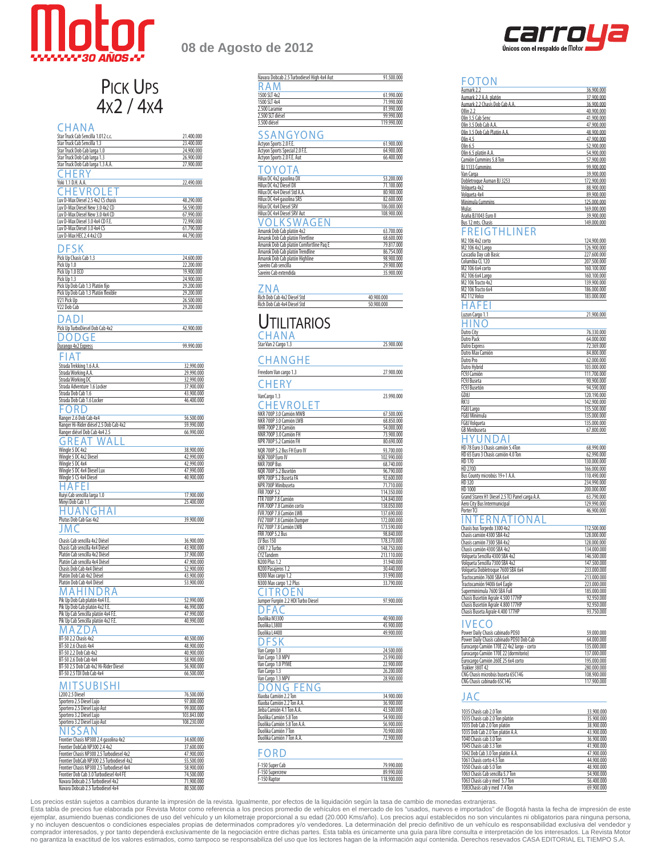

# PICK UPS<br>4x2 / 4x4

#### **CHANA**

| Star Truck Cab Sencilla 1.012 c.c.                                     | 21.400.000               |
|------------------------------------------------------------------------|--------------------------|
|                                                                        |                          |
| Star Truck Cab Sencilla 1.3                                            | 23.400.000               |
| Star Truck Dob Cab larga 1.0                                           | 24.900.000               |
|                                                                        |                          |
| Star Truck Dob Cab larga 1.3                                           | 26.900.000               |
| Star Truck Dob Cab larga 1.3 A.A.                                      | 27.900.000               |
|                                                                        |                          |
| ٠K                                                                     |                          |
| Yoki 1.1 D.H. A.A.                                                     | 22.490.000               |
|                                                                        |                          |
| -11<br>E V R C                                                         |                          |
|                                                                        |                          |
| Luv D-Max Diesel 2.5 4x2 CS chasis                                     | 48.290.000               |
| Luv D-Max Diesel New 3.0 4x2 CD                                        | 56.590.000               |
| Luv D-Max Diesel New 3.0 4x4 CD                                        | 67.990.000               |
|                                                                        |                          |
| Luv D-Max Diesel 3.0 4x4 CD F.E.                                       | 72.990.000               |
| Luv D-Max Diesel 3.0 4x4 CS                                            | 61.790.000               |
| Luv D-Max HEC 2.4 4x2 CD                                               | 44.790.000               |
|                                                                        |                          |
|                                                                        |                          |
| ESK                                                                    |                          |
|                                                                        |                          |
| Pick Up Chasis Cab 1.3                                                 | 24.600.000               |
| Pick Up 1.0                                                            | 22.200.000               |
| Pick Up 1.0 ECO                                                        | 19.900.000               |
|                                                                        |                          |
| Pick Up 1.3                                                            | 24.900.000               |
| Pick Up Dob Cab 1.3 Platón fijo                                        | 29.200.000               |
| Pick Up Dob Cab 1.3 Platón flexible                                    | 29.200.000               |
| V21 Pick Up                                                            |                          |
|                                                                        | 26.500.000               |
| V22 Dob Cab                                                            | 29.200.000               |
|                                                                        |                          |
| ) A I<br>Л                                                             |                          |
|                                                                        |                          |
| Pick Up TurboDiesel Dob Cab 4x2                                        | 42.900.000               |
|                                                                        |                          |
| ) (1)                                                                  |                          |
| Durango 4x2 Express                                                    | 99.990.000               |
|                                                                        |                          |
| А                                                                      |                          |
|                                                                        |                          |
| Strada Trekking 1.6 A.A.                                               | 32.990.000               |
| Strada Working A.A.                                                    | 29.990.000               |
|                                                                        |                          |
| Strada Working DC                                                      | 32.990.000               |
| Strada Adventure 1.6 Locker                                            | 37.900.000               |
| Strada Dob Cab 1.6                                                     | 43.900.000               |
|                                                                        |                          |
| Strada Dob Cab 1.6 Locker                                              | 46.400.000               |
| :ORI                                                                   |                          |
|                                                                        |                          |
| Ranger 2.6 Dob Cab 4x4                                                 | 56.500.000               |
| Ranger Hi-Rider diésel 2.5 Dob Cab 4x2                                 | 59.990.000               |
|                                                                        |                          |
| Ranger diésel Dob Cab 4x4 2.5                                          | 66.990.000               |
| A                                                                      |                          |
| ₹                                                                      |                          |
| Wingle 5 DC 4x2                                                        | 38.900.000               |
| Wingle 5 DC 4x2 Diesel                                                 | 42.990.000               |
|                                                                        |                          |
| Wingle 5 DC 4x4                                                        | 42.990.000               |
| Wingle 5 DC 4x4 Diesel Lux                                             | 47.990.000               |
| Wingle 5 CS 4x4 Diesel                                                 | 40.900.000               |
|                                                                        |                          |
| AFE                                                                    |                          |
|                                                                        |                          |
| Ruiyi Cab sencilla larga 1.0                                           | 17.900.000               |
|                                                                        |                          |
|                                                                        |                          |
| Minyi Dob Cab 1.1                                                      | 25.400.000               |
| Αľ<br>N (1<br>ΑI                                                       |                          |
|                                                                        |                          |
| Plutus Dob Cab Gas 4x2                                                 | 39.900.000               |
|                                                                        |                          |
|                                                                        |                          |
|                                                                        |                          |
| Chasís Cab sencilla 4x2 Diésel                                         | 36.900.000               |
| Chasís Cab sencilla 4x4 Diésel                                         |                          |
|                                                                        | 43.900.000               |
| Platón Cab sencilla 4x2 Diésel                                         | 37.900.000               |
| Platón Cab sencilla 4x4 Diésel                                         | 47.900.000               |
| Chasís Dob Cab 4x4 Diésel                                              | 52.900.000               |
|                                                                        |                          |
| Platón Dob Cab 4x2 Diésel                                              | 43.900.000               |
| Platón Dob Cab 4x4 Diésel                                              | 53.900.000               |
| Δ                                                                      |                          |
| ) R<br>Д<br>t<br>г                                                     |                          |
| Pik Up Dob Cab platón 4x4 F.E.                                         | 52.990.000               |
|                                                                        |                          |
| Pik Up Dob Cab platón 4x2 F.E                                          | 46.990.000               |
| Pik Up Cab Sencilla platón 4x4 F.E.                                    | 47.990.000               |
| Pik Up Cab Sencilla platón 4x2 F.E                                     | 40.990.000               |
|                                                                        |                          |
| A                                                                      |                          |
|                                                                        |                          |
| BT-50 2.2 Chasis 4x2                                                   | 40.500.000               |
| BT-50 2.6 Chasis 4x4                                                   | 48.900.000               |
| BT-50 2.2 Dob Cab 4x2                                                  | 40.900.000               |
|                                                                        |                          |
| BT-50 2.6 Dob Cab 4x4                                                  | 58.900.000               |
| BT-50 2.5 Dob Cab 4x2 Hi-Rider Diesel                                  | 56.900.000               |
| BT-50 2.5 TDI Dob Cab 4x4                                              | 66.500.000               |
|                                                                        |                          |
| R<br>ı                                                                 |                          |
| SHI                                                                    |                          |
| L200 2.5 Diesel                                                        | 76.500.000               |
|                                                                        |                          |
| Sportero 2.5 Diesel Lujo                                               | 97.000.000               |
| Sportero 2.5 Diesel Lujo Aut                                           | 99.000.000               |
| Sportero 3.2 Diesel Lujo                                               | 103.843.000              |
|                                                                        |                          |
| Sportero 3.2 Diesel Lujo Aut                                           | 108.230.000              |
|                                                                        |                          |
|                                                                        |                          |
| Frontier Chasís NP300 2.4 gasolina 4x2                                 | 34.600.000               |
| Frontier DobCab NP300 2.4 4x2                                          | 37.600.000               |
|                                                                        |                          |
| Frontier Chasís NP300 2.5 Turbodiesel 4x2                              | 47.900.000               |
| Frontier DobCab NP300 2.5 Turbodiesel 4x2                              | 55.500.000               |
| Frontier Chasís NP300 2.5 Turbodiesel 4x4                              | 58.900.000               |
|                                                                        |                          |
| Frontier Dob Cab 3.0 Turbodiesel 4x4 FE                                | 74.500.000               |
| Navara Dobcab 2.5 Turbodiesel 4x2<br>Navara Dobcab 2.5 Turbodiesel 4x4 | 71.900.000<br>80.500.000 |

## **08 de Agosto de 2012**

| Navara Dobcab 2.5 Turbodiesel High 4x4 Aut                                 | 91.500.000                 |
|----------------------------------------------------------------------------|----------------------------|
| ₹<br>ΑN                                                                    |                            |
| 1500 SLT 4x2<br>1500 SLT 4x4                                               | 61.990.000                 |
| 2.500 Laramie                                                              | 71.990.000<br>81.990.000   |
| 2.500 SLT diésel                                                           | 99.990.000                 |
| 3.500 diésel                                                               | 119.990.000                |
| SSANGYONG                                                                  |                            |
| Actyon Sports 2.0 F.E.                                                     | 61.900.000                 |
| <b>Actyon Sports Special 2.0 F.E.</b>                                      | 64.900.000                 |
| Actyon Sports 2.0 F.E. Aut                                                 | 66.400.000                 |
| ΌΥΟΤΑ                                                                      |                            |
| Hilux DC 4x2 gasolina DX                                                   | 53.200.000                 |
| Hilux DC 4x2 Diesel DX                                                     | 71.100.000                 |
| Hilux DC 4x4 Diesel Std A.A.                                               | 80.900.000                 |
| Hilux DC 4x4 gasolina SR5                                                  | 82.600.000                 |
| Hilux DC 4x4 Diesel SRV                                                    | 106.000.000                |
| Hilux DC 4x4 Diesel SRV Aut                                                | 108.900.000                |
| /OLKSWAGEN                                                                 |                            |
| Amarok Dob Cab platón 4x2                                                  | 63.700.000                 |
| Amarok Dob Cab platón Fleetline                                            | 68.600.000                 |
| Amarok Dob Cab platón Comfortline Paq E<br>Amarok Dob Cab platón Trendline | 79.817.000<br>86.754.000   |
| Amarok Dob Cab platón Highline                                             | 98.900.000                 |
| Saveiro Cab sencilla                                                       | 29.900.000                 |
| Saveiro Cab extendida                                                      | 35.900.000                 |
|                                                                            |                            |
| ΝA                                                                         |                            |
| Rich Dob Cab 4x2 Diesel Std<br>Rich Dob Cab 4x4 Diesel Std                 | 40.900.000<br>50.900.000   |
|                                                                            |                            |
| <b>TILITARIOS</b>                                                          |                            |
| CHANA                                                                      |                            |
| Star Van 2 Cargo 1.3                                                       | 25.900.000                 |
| HANGHE                                                                     |                            |
| Freedom Van cargo 1.3                                                      | 27.900.000                 |
| CHERY                                                                      |                            |
|                                                                            |                            |
| VanCargo 1.3                                                               | 23.990.000                 |
| <b>HEVROLET</b>                                                            |                            |
| NKR 700P 3.0 Camión MWB                                                    | 67.500.000                 |
| NKR 700P 3.0 Camión LWB<br>NHR 700P 2.8 Camión                             | 68.850.000<br>54.000.000   |
| NNR 700P 3.0 Camión FH                                                     | 73.900.000                 |
| NPR 700P 5.2 Camión FH                                                     | 80.690.000                 |
| NQR 700P 5.2 Bus FH Euro IV                                                | 93.700.000                 |
| NQR 700P Euro IV                                                           | 102.990.000                |
| NKR 700P Bus                                                               | 68.740.000                 |
| NQR 700P 5.2 Busetón<br>NPR 700P 5.2 Buseta FA                             | 96.790.000<br>92.600.000   |
| NPR 700P Minibuseta                                                        | 71.710.000                 |
| FRR 700P 5.2                                                               | 114.350.000                |
| FTR 700P 7.8 Camión                                                        | 124.840.000                |
| FVR 700P 7.8 Camión corto                                                  | 138.050.000                |
| FVR 700P 7.8 Camión LWB<br>FVZ 700P 7.8 Camión Dumper                      | 137.690.000                |
| FVZ 700P 7.8 Camión LWB                                                    | 172.000.000<br>173.590.000 |
| FRR 700P 5.2 Bus                                                           | 98.840.000                 |
| <b>LV Bus 150</b>                                                          | 178.370.000                |
| CHR 7.2 Turbo                                                              | 148.750.000                |
| CYZ Tandem                                                                 | 213.110.000                |
| N200 Plus 1.2                                                              | 31.940.000                 |
| N200 Pasajeros 1.2<br>N300 Max cargo 1.2                                   | 30.440.000<br>31.990.000   |
| N300 Max cargo 1.2 Plus                                                    | 33.790.000                 |
| к<br>- I                                                                   |                            |
| Jumper Furgón 2.2 HDI Turbo Diesel                                         | 97.900.000                 |
|                                                                            |                            |
|                                                                            |                            |
| Duolika M3300<br>Duolika L3800                                             | 40.900.000<br>45.900.000   |
| Duolika L4400                                                              | 49.900.000                 |
|                                                                            |                            |
| Van Cargo 1.0                                                              | 24.500.000                 |
| Van Cargo 1.0 MPV                                                          | 25.990.000                 |
| Van Cargo 1.0 PYME                                                         | 22.900.000                 |
| Van Cargo 1.3                                                              | 26.200.000                 |
| Van Cargo 1.3 MPV                                                          | 28.900.000                 |
| ( ۱<br>Xiaoba Camión 2.2 Ton                                               | 34.900.000                 |
| Xiaoba Camión 2.2 Ton A.A                                                  | 36.900.000                 |
| Jinba Camión 4.1 Ton A.A.                                                  | 43.500.000                 |
| Duolika Camión 5.8 Ton                                                     | 54.900.000                 |
| Duolika Camión 5.8 Ton A.A                                                 | 56.900.000                 |
| Duolika Camión 7 Ton                                                       | 70.900.000                 |
| Duolika Camión 7 Ton A.A                                                   | 72.900.000                 |
|                                                                            |                            |
| F-150 Super Cab                                                            | 79.990.000                 |
| F-150 Supercrew                                                            | 89.990.000                 |
| F-150 Raptor                                                               | 118.900.000                |



| FOTON                                                                 |                           |
|-----------------------------------------------------------------------|---------------------------|
| Aumark 2.2                                                            | 36,900,000                |
| Aumark 2.2 A.A. platón                                                | 37.900.000                |
| Aumark 2.2 Chasis Dob Cab A.A.                                        | 36.900.000                |
| <u>Ollin 2.2</u>                                                      | 40.900.000                |
| Olin 3.5 Cab Senc                                                     | 41.900.000                |
| Olin 3.5 Dob Cab A.A                                                  | 47.900.000                |
| Olin 3.5 Dob Cab Platón A.A.                                          | 48.900.000                |
| Olin 4.5                                                              | 47.900.000                |
| Olin 6.5                                                              | 52.900.000                |
| Olin 6.5 platón A.A.                                                  | 54.900.000                |
| Camión Cummins 5.8 Ton                                                | 57.900.000                |
| BJ 1133 Cummins                                                       | 99.900.000                |
| <u>Van Carga</u>                                                      | 39.900.000                |
| Dobletroque Auman BJ 3253                                             | 172,900,000               |
| Volqueta 4x2                                                          | 88.900.000                |
| <u>Volgueta 4x4</u>                                                   | 89.900.000                |
| Minimula Cummins                                                      | 125.000.000               |
| Mulas<br>Araña BJ1043 Euro II                                         | 169,000.000               |
| Bus 12 mts. Chasis                                                    | 39.900.000<br>149.000.000 |
| HLINER<br>REIGT                                                       |                           |
| M2 106 4x2 corto                                                      | 124.900.000               |
| M2 106 4x2 Largo                                                      | 126.900.000               |
| Cascadia Day cab Basic                                                | 227.600.000               |
| Columbia CL 120                                                       | 207.500.000               |
| M2 106 6x4 corto                                                      | 160.100.000               |
| M2 106 6x4 Largo                                                      | 160.100.000               |
| M2 106 Tracto 4x2                                                     | 139.900.000               |
| M2 106 Tracto 6x4                                                     | 186.000.000               |
| M2 112 Volco<br>1 A F EI                                              | 183.000.000               |
| Luzun Cargo 1.1                                                       | 21.900.000                |
| <b>Dutro City</b>                                                     | 76.330.000                |
| <b>Dutro Pack</b>                                                     | 64.000.000                |
| Dutro Express                                                         | 72.369.000                |
| Dutro Max Camión                                                      | 84.800.000                |
| Dutro Pro                                                             | 62.000.000                |
| Dutro Hybrid                                                          | 103.000.000               |
| FC9J Camión                                                           | 111.700.000               |
| FC9J Buseta                                                           | 90.900.000                |
| FC9J Busetón                                                          | 94.590.000                |
| GD8J                                                                  | 120.190.000               |
| RK1J                                                                  | 142.900.000               |
| FG8J Largo                                                            | 135.500.000               |
| FG8J Minimula                                                         | 135.000.000               |
| FG8J Volqueta                                                         | 135.000.000               |
| <b>GB Minibuseta</b>                                                  | 67.800.000                |
| 7 U N I                                                               |                           |
| HD 78 Euro 3 Chasís camión 5.4Ton                                     | 68.990.000                |
| HD 65 Euro 3 Chasís camión 4.0 Ton                                    | 62.990.000                |
| HD 170                                                                | 130.000.000               |
| <b>HD 270D</b>                                                        | 166.000.000               |
| Bus County microbús 19+1 A.A.                                         | 110.490.000               |
| HD 320                                                                | 234.990.000               |
| HD 1000                                                               | 200.000.000               |
| Grand Starex H1 Diesel 2.5 TCI Panel carga A.A.                       | 63.790.000                |
| Aero City Bus Intermunicipal                                          | 129.990.000               |
| Porter <sub>TCI</sub><br>(<br>٢                                       | 46.900.000                |
| Chasís bus Torpedo 3300 4x2                                           | 112.500.000               |
| Chasís camión 4300 SBA 4x2                                            | 128,000,000               |
| Chasís camión 7300 SBA 4x2                                            | 128.000.000               |
| Chasís camión 4300 SBA 4x2                                            | 134.000.000               |
| Volqueta Sencilla 4300 SBA 4x2                                        | 146.500.000               |
| Volqueta Sencilla 7300 SBA 4x2                                        | 147.500.000               |
| Volqueta Dobletroque 7600 SBA 6x4                                     | 233.000.000               |
| Tractocamión 7600 SBA 6x4                                             | 213.000.000               |
| Tractocamión 9400i 6x4 Eagle                                          | 223.000.000               |
| Superminimula 7600 SBA Full                                           | 185.000.000               |
| Chasís Busetón Agrale 4.500 177HP                                     | 92.950.000                |
| Chasís Busetón Agrale 4.800 177HP<br>Chasís Buseta Agrale 4.400 177HP | 92.950.000<br>93.750.000  |
| IVEC(                                                                 |                           |
| Power Daily Chasís cabinado PD50                                      | 59.000.000                |
| Power Daily Chasís cabinado PD50 Dob Cab                              | 64.000.000                |
| Eurocargo Camión 170E 22 4x2 largo - corto                            | 135.000.000               |
| Eurocargo Camión 170E 22 (dormitorio)                                 | 137.000.000               |
| Eurocargo Camión 260E 25 6x4 corto                                    | 195.000.000               |
| Trakker 380T 42                                                       | 280.000.000               |
| CNG Chasís microbús buseta 65C14G                                     | 108.900.000               |
| CNG Chasís cabinado 65C14G                                            | 117.900.000               |
|                                                                       |                           |
| 1035 Chasís cab 2.0 Ton                                               | 33.900.000                |
| 1035 Chasís cab 2.0 Ton platón                                        | 35.900.000                |

| 1035 Chasís cab 2.0 Ton          | 33,900,000 |
|----------------------------------|------------|
| 1035 Chasís cab 2.0 Ton platón   | 35.900.000 |
| 1035 Dob Cab 2.0 Ton platón      | 38,900,000 |
| 1035 Dob Cab 2.0 Ton platón A.A. | 43.900.000 |
| 1040 Chasís cab 3.0 Ton          | 36,900,000 |
| 1045 Chasís cab 3.3 Ton          | 41,900,000 |
| 1042 Dob Cab 3.0 Ton platón A.A. | 47,900,000 |
| 1061 Chasís corto 4.5 Ton        | 44.900.000 |
| 1050 Chasís cab 5.0 Ton          | 48,900,000 |
| 1063 Chasís Cab sencilla 5.7 Ton | 54,900,000 |
| 1063 Chasís cab y med 5.7 Ton    | 56,400,000 |
| 1083Chasís cab y med 7.4 Ton     | 69.900.000 |
|                                  |            |